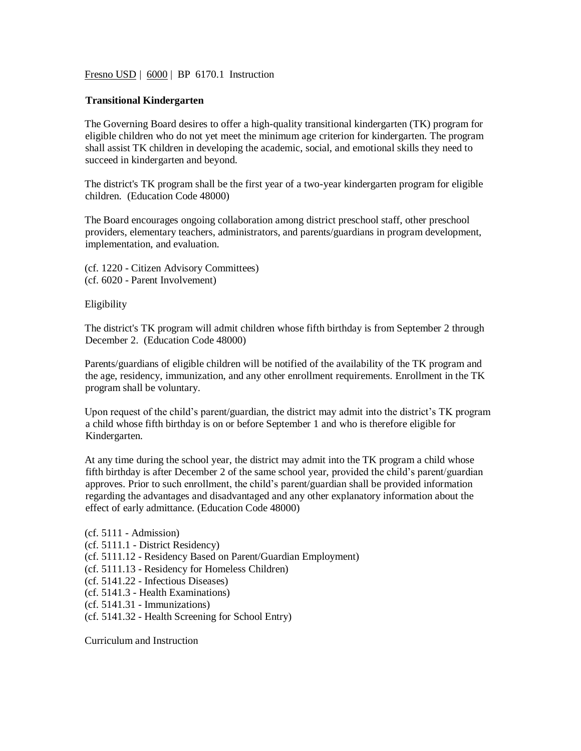Fresno USD | 6000 | BP 6170.1 Instruction

## **Transitional Kindergarten**

The Governing Board desires to offer a high-quality transitional kindergarten (TK) program for eligible children who do not yet meet the minimum age criterion for kindergarten. The program shall assist TK children in developing the academic, social, and emotional skills they need to succeed in kindergarten and beyond.

The district's TK program shall be the first year of a two-year kindergarten program for eligible children. (Education Code 48000)

The Board encourages ongoing collaboration among district preschool staff, other preschool providers, elementary teachers, administrators, and parents/guardians in program development, implementation, and evaluation.

(cf. 1220 - Citizen Advisory Committees) (cf. 6020 - Parent Involvement)

Eligibility

The district's TK program will admit children whose fifth birthday is from September 2 through December 2. (Education Code 48000)

Parents/guardians of eligible children will be notified of the availability of the TK program and the age, residency, immunization, and any other enrollment requirements. Enrollment in the TK program shall be voluntary.

Upon request of the child's parent/guardian, the district may admit into the district's TK program a child whose fifth birthday is on or before September 1 and who is therefore eligible for Kindergarten.

At any time during the school year, the district may admit into the TK program a child whose fifth birthday is after December 2 of the same school year, provided the child's parent/guardian approves. Prior to such enrollment, the child's parent/guardian shall be provided information regarding the advantages and disadvantaged and any other explanatory information about the effect of early admittance. (Education Code 48000)

(cf. 5111 - Admission) (cf. 5111.1 - District Residency)

- (cf. 5111.12 Residency Based on Parent/Guardian Employment)
- (cf. 5111.13 Residency for Homeless Children)
- (cf. 5141.22 Infectious Diseases)
- (cf. 5141.3 Health Examinations)
- (cf. 5141.31 Immunizations)
- (cf. 5141.32 Health Screening for School Entry)

Curriculum and Instruction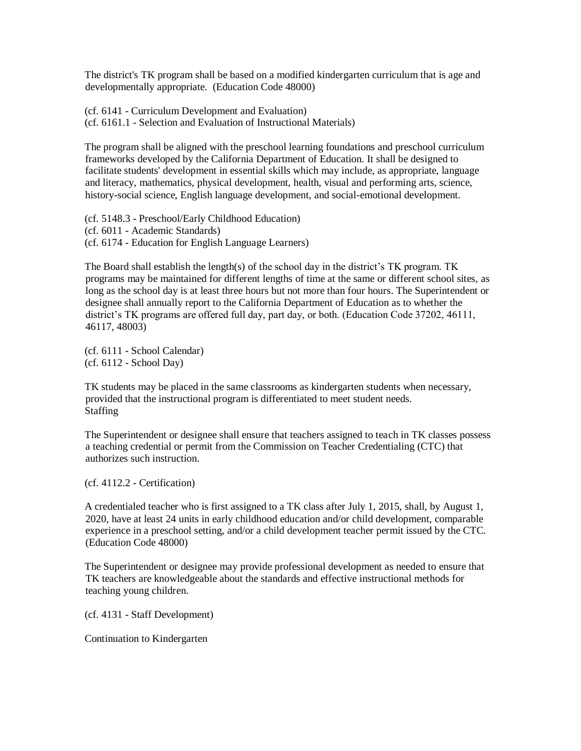The district's TK program shall be based on a modified kindergarten curriculum that is age and developmentally appropriate. (Education Code 48000)

(cf. 6141 - Curriculum Development and Evaluation) (cf. 6161.1 - Selection and Evaluation of Instructional Materials)

The program shall be aligned with the preschool learning foundations and preschool curriculum frameworks developed by the California Department of Education. It shall be designed to facilitate students' development in essential skills which may include, as appropriate, language and literacy, mathematics, physical development, health, visual and performing arts, science, history-social science, English language development, and social-emotional development.

(cf. 5148.3 - Preschool/Early Childhood Education) (cf. 6011 - Academic Standards) (cf. 6174 - Education for English Language Learners)

The Board shall establish the length(s) of the school day in the district's TK program. TK programs may be maintained for different lengths of time at the same or different school sites, as long as the school day is at least three hours but not more than four hours. The Superintendent or designee shall annually report to the California Department of Education as to whether the district's TK programs are offered full day, part day, or both. (Education Code 37202, 46111, 46117, 48003)

(cf. 6111 - School Calendar) (cf. 6112 - School Day)

TK students may be placed in the same classrooms as kindergarten students when necessary, provided that the instructional program is differentiated to meet student needs. Staffing

The Superintendent or designee shall ensure that teachers assigned to teach in TK classes possess a teaching credential or permit from the Commission on Teacher Credentialing (CTC) that authorizes such instruction.

(cf. 4112.2 - Certification)

A credentialed teacher who is first assigned to a TK class after July 1, 2015, shall, by August 1, 2020, have at least 24 units in early childhood education and/or child development, comparable experience in a preschool setting, and/or a child development teacher permit issued by the CTC. (Education Code 48000)

The Superintendent or designee may provide professional development as needed to ensure that TK teachers are knowledgeable about the standards and effective instructional methods for teaching young children.

(cf. 4131 - Staff Development)

Continuation to Kindergarten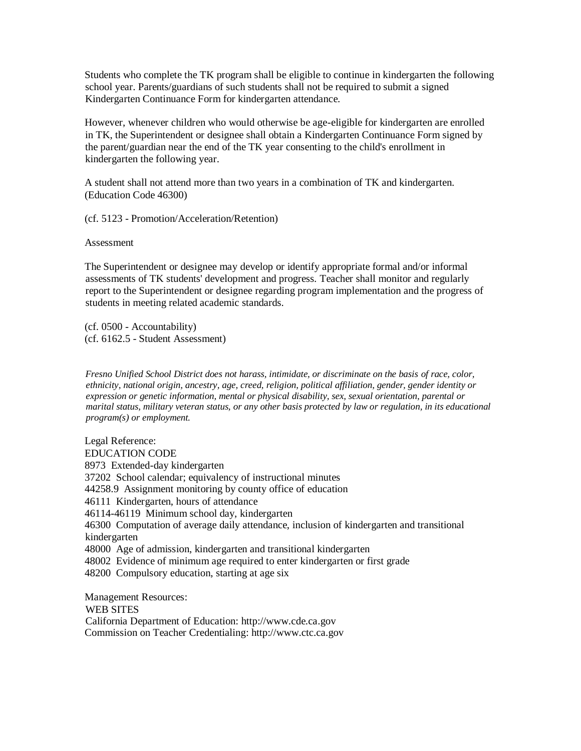Students who complete the TK program shall be eligible to continue in kindergarten the following school year. Parents/guardians of such students shall not be required to submit a signed Kindergarten Continuance Form for kindergarten attendance.

However, whenever children who would otherwise be age-eligible for kindergarten are enrolled in TK, the Superintendent or designee shall obtain a Kindergarten Continuance Form signed by the parent/guardian near the end of the TK year consenting to the child's enrollment in kindergarten the following year.

A student shall not attend more than two years in a combination of TK and kindergarten. (Education Code 46300)

(cf. 5123 - Promotion/Acceleration/Retention)

Assessment

The Superintendent or designee may develop or identify appropriate formal and/or informal assessments of TK students' development and progress. Teacher shall monitor and regularly report to the Superintendent or designee regarding program implementation and the progress of students in meeting related academic standards.

(cf. 0500 - Accountability) (cf. 6162.5 - Student Assessment)

*Fresno Unified School District does not harass, intimidate, or discriminate on the basis of race, color, ethnicity, national origin, ancestry, age, creed, religion, political affiliation, gender, gender identity or expression or genetic information, mental or physical disability, sex, sexual orientation, parental or marital status, military veteran status, or any other basis protected by law or regulation, in its educational program(s) or employment.*

Legal Reference: EDUCATION CODE 8973 Extended-day kindergarten 37202 School calendar; equivalency of instructional minutes 44258.9 Assignment monitoring by county office of education 46111 Kindergarten, hours of attendance 46114-46119 Minimum school day, kindergarten 46300 Computation of average daily attendance, inclusion of kindergarten and transitional kindergarten 48000 Age of admission, kindergarten and transitional kindergarten 48002 Evidence of minimum age required to enter kindergarten or first grade 48200 Compulsory education, starting at age six

Management Resources: WEB SITES California Department of Education: http://www.cde.ca.gov Commission on Teacher Credentialing: http://www.ctc.ca.gov